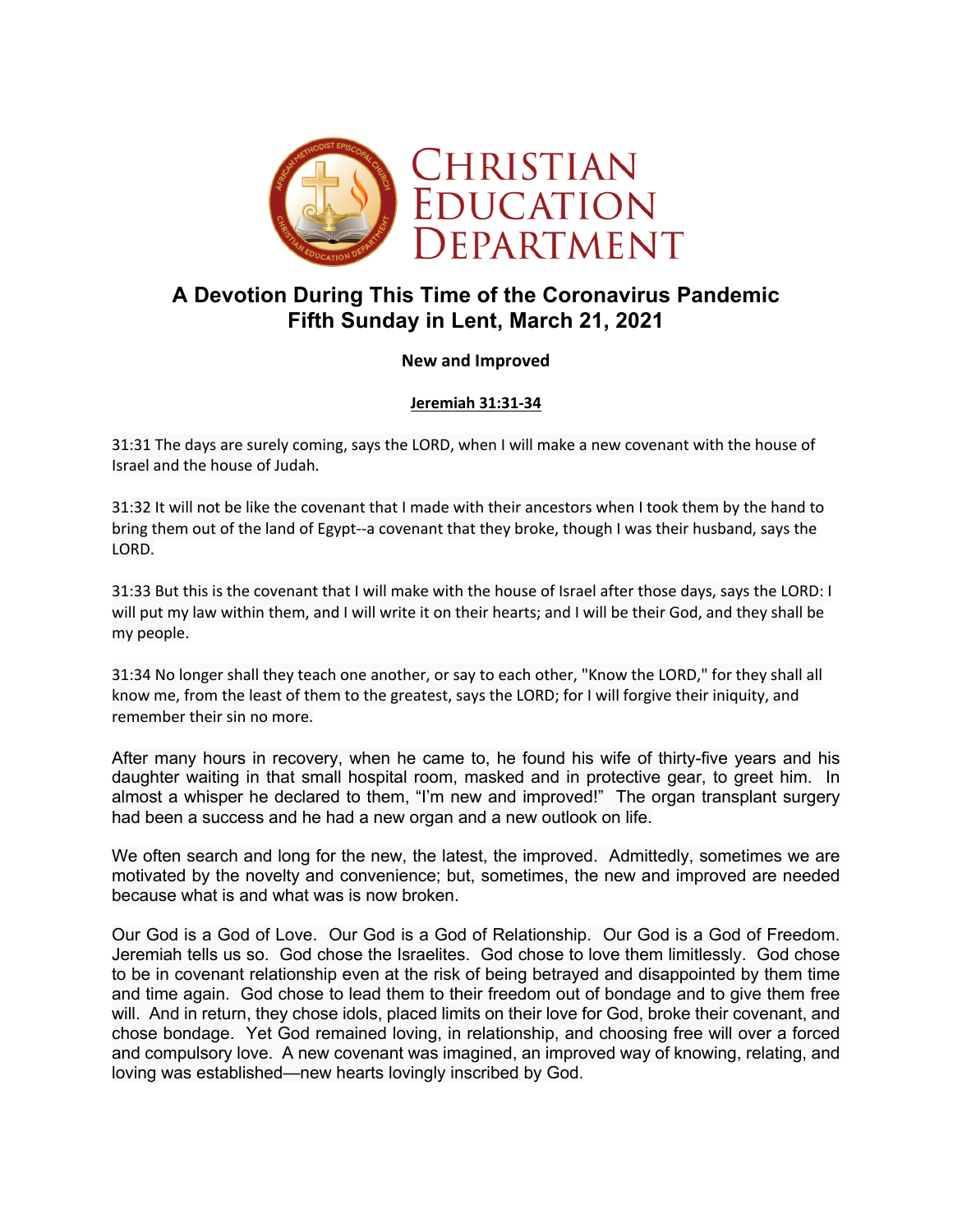

## **A Devotion During This Time of the Coronavirus Pandemic Fifth Sunday in Lent, March 21, 2021**

## **New and Improved**

**Jeremiah 31:31-34**

31:31 The days are surely coming, says the LORD, when I will make a new covenant with the house of Israel and the house of Judah.

31:32 It will not be like the covenant that I made with their ancestors when I took them by the hand to bring them out of the land of Egypt--a covenant that they broke, though I was their husband, says the LORD.

31:33 But this is the covenant that I will make with the house of Israel after those days, says the LORD: I will put my law within them, and I will write it on their hearts; and I will be their God, and they shall be my people.

31:34 No longer shall they teach one another, or say to each other, "Know the LORD," for they shall all know me, from the least of them to the greatest, says the LORD; for I will forgive their iniquity, and remember their sin no more.

After many hours in recovery, when he came to, he found his wife of thirty-five years and his daughter waiting in that small hospital room, masked and in protective gear, to greet him. In almost a whisper he declared to them, "I'm new and improved!" The organ transplant surgery had been a success and he had a new organ and a new outlook on life.

We often search and long for the new, the latest, the improved. Admittedly, sometimes we are motivated by the novelty and convenience; but, sometimes, the new and improved are needed because what is and what was is now broken.

Our God is a God of Love. Our God is a God of Relationship. Our God is a God of Freedom. Jeremiah tells us so. God chose the Israelites. God chose to love them limitlessly. God chose to be in covenant relationship even at the risk of being betrayed and disappointed by them time and time again. God chose to lead them to their freedom out of bondage and to give them free will. And in return, they chose idols, placed limits on their love for God, broke their covenant, and chose bondage. Yet God remained loving, in relationship, and choosing free will over a forced and compulsory love. A new covenant was imagined, an improved way of knowing, relating, and loving was established—new hearts lovingly inscribed by God.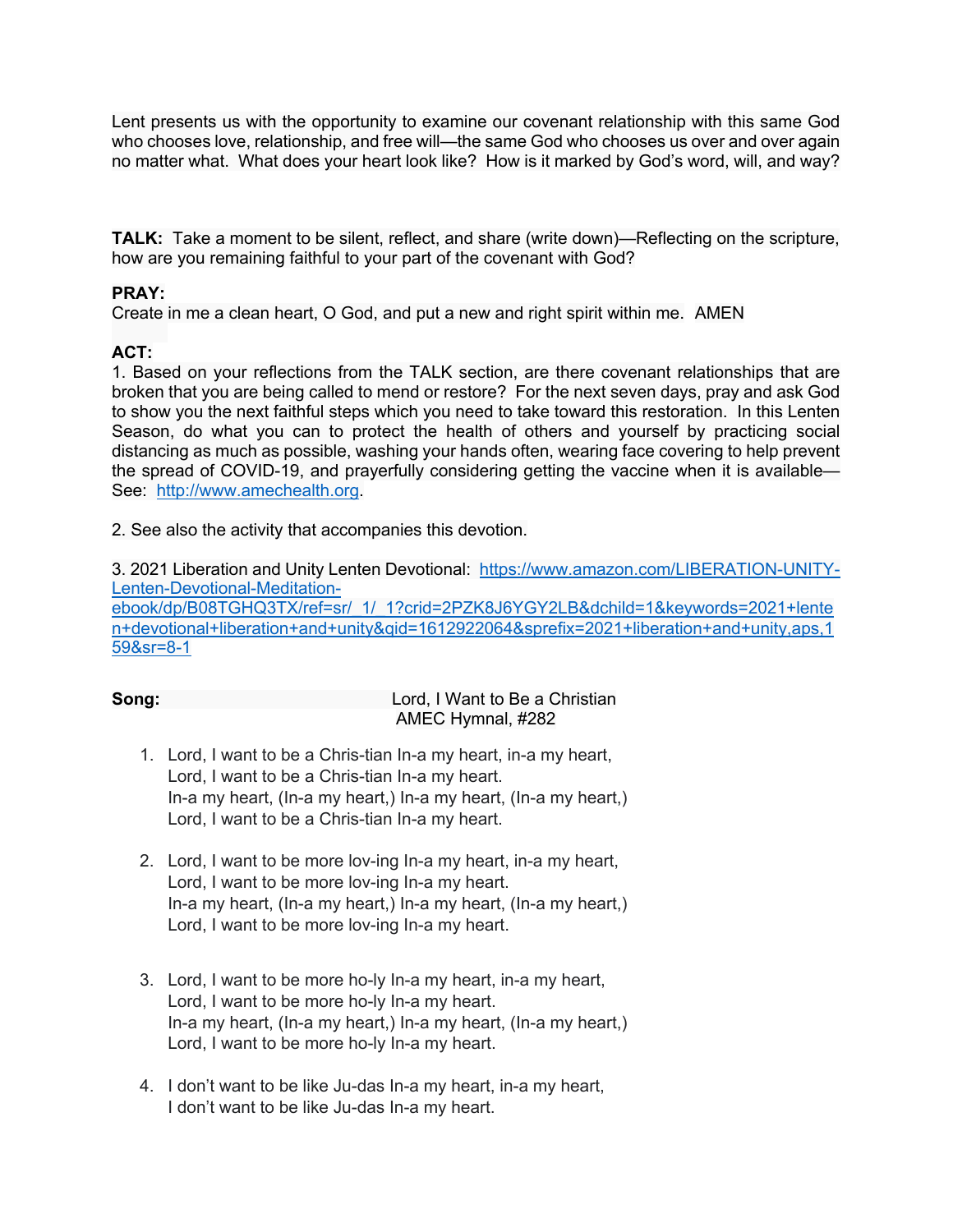Lent presents us with the opportunity to examine our covenant relationship with this same God who chooses love, relationship, and free will—the same God who chooses us over and over again no matter what. What does your heart look like? How is it marked by God's word, will, and way?

**TALK:** Take a moment to be silent, reflect, and share (write down)—Reflecting on the scripture, how are you remaining faithful to your part of the covenant with God?

## **PRAY:**

Create in me a clean heart, O God, and put a new and right spirit within me. AMEN

## **ACT:**

1. Based on your reflections from the TALK section, are there covenant relationships that are broken that you are being called to mend or restore? For the next seven days, pray and ask God to show you the next faithful steps which you need to take toward this restoration. In this Lenten Season, do what you can to protect the health of others and yourself by practicing social distancing as much as possible, washing your hands often, wearing face covering to help prevent the spread of COVID-19, and prayerfully considering getting the vaccine when it is available— See: http://www.amechealth.org.

2. See also the activity that accompanies this devotion.

3. 2021 Liberation and Unity Lenten Devotional: https://www.amazon.com/LIBERATION-UNITY-Lenten-Devotional-Meditationebook/dp/B08TGHQ3TX/ref=sr/\_1/\_1?crid=2PZK8J6YGY2LB&dchild=1&keywords=2021+lente n+devotional+liberation+and+unity&qid=1612922064&sprefix=2021+liberation+and+unity,aps,1 59&sr=8-1

| Song: | Lord, I Want to Be a Christian |
|-------|--------------------------------|
|       | AMEC Hymnal, #282              |

- 1. Lord, I want to be a Chris-tian In-a my heart, in-a my heart, Lord, I want to be a Chris-tian In-a my heart. In-a my heart, (In-a my heart,) In-a my heart, (In-a my heart,) Lord, I want to be a Chris-tian In-a my heart.
- 2. Lord, I want to be more lov-ing In-a my heart, in-a my heart, Lord, I want to be more lov-ing In-a my heart. In-a my heart, (In-a my heart,) In-a my heart, (In-a my heart,) Lord, I want to be more lov-ing In-a my heart.
- 3. Lord, I want to be more ho-ly In-a my heart, in-a my heart, Lord, I want to be more ho-ly In-a my heart. In-a my heart, (In-a my heart,) In-a my heart, (In-a my heart,) Lord, I want to be more ho-ly In-a my heart.
- 4. I don't want to be like Ju-das In-a my heart, in-a my heart, I don't want to be like Ju-das In-a my heart.